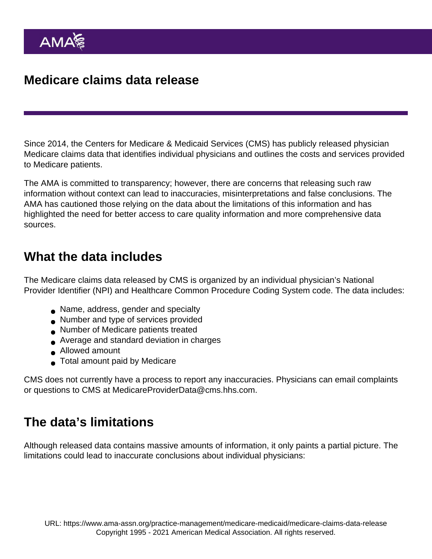## Medicare claims data release

Since 2014, the Centers for Medicare & Medicaid Services (CMS) has publicly released physician Medicare claims data that identifies individual physicians and outlines the costs and services provided to Medicare patients.

The AMA is committed to transparency; however, there are concerns that releasing such raw information without context can lead to inaccuracies, misinterpretations and false conclusions. The AMA has cautioned those relying on the data about the limitations of this information and has highlighted the need for better access to care quality information and more comprehensive data sources.

### What the data includes

The Medicare claims data released by CMS is organized by an individual physician's National Provider Identifier (NPI) and Healthcare Common Procedure Coding System code. The data includes:

- Name, address, gender and specialty
- Number and type of services provided
- Number of Medicare patients treated
- Average and standard deviation in charges
- Allowed amount
- Total amount paid by Medicare

CMS does not currently have a process to report any inaccuracies. Physicians can email complaints or questions to CMS at MedicareProviderData@cms.hhs.com.

### The data's limitations

Although released data contains massive amounts of information, it only paints a partial picture. The limitations could lead to inaccurate conclusions about individual physicians: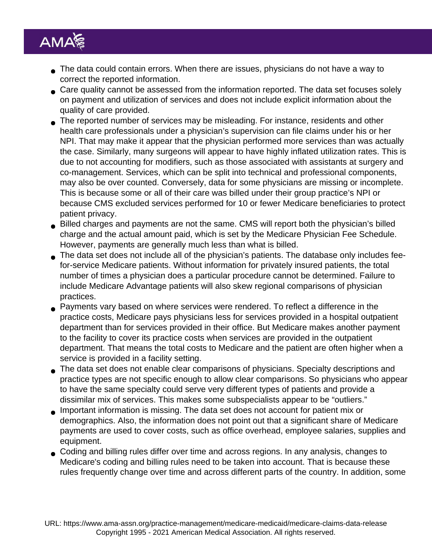- The data could contain errors. When there are issues, physicians do not have a way to correct the reported information.
- Care quality cannot be assessed from the information reported. The data set focuses solely on payment and utilization of services and does not include explicit information about the quality of care provided.
- The reported number of services may be misleading. For instance, residents and other health care professionals under a physician's supervision can file claims under his or her NPI. That may make it appear that the physician performed more services than was actually the case. Similarly, many surgeons will appear to have highly inflated utilization rates. This is due to not accounting for modifiers, such as those associated with assistants at surgery and co-management. Services, which can be split into technical and professional components, may also be over counted. Conversely, data for some physicians are missing or incomplete. This is because some or all of their care was billed under their group practice's NPI or because CMS excluded services performed for 10 or fewer Medicare beneficiaries to protect patient privacy.
- Billed charges and payments are not the same. CMS will report both the physician's billed charge and the actual amount paid, which is set by the Medicare Physician Fee Schedule. However, payments are generally much less than what is billed.
- The data set does not include all of the physician's patients. The database only includes feefor-service Medicare patients. Without information for privately insured patients, the total number of times a physician does a particular procedure cannot be determined. Failure to include Medicare Advantage patients will also skew regional comparisons of physician practices.
- **Payments vary based on where services were rendered. To reflect a difference in the** practice costs, Medicare pays physicians less for services provided in a hospital outpatient department than for services provided in their office. But Medicare makes another payment to the facility to cover its practice costs when services are provided in the outpatient department. That means the total costs to Medicare and the patient are often higher when a service is provided in a facility setting.
- The data set does not enable clear comparisons of physicians. Specialty descriptions and practice types are not specific enough to allow clear comparisons. So physicians who appear to have the same specialty could serve very different types of patients and provide a dissimilar mix of services. This makes some subspecialists appear to be "outliers."
- Important information is missing. The data set does not account for patient mix or demographics. Also, the information does not point out that a significant share of Medicare payments are used to cover costs, such as office overhead, employee salaries, supplies and equipment.
- Coding and billing rules differ over time and across regions. In any analysis, changes to Medicare's coding and billing rules need to be taken into account. That is because these rules frequently change over time and across different parts of the country. In addition, some